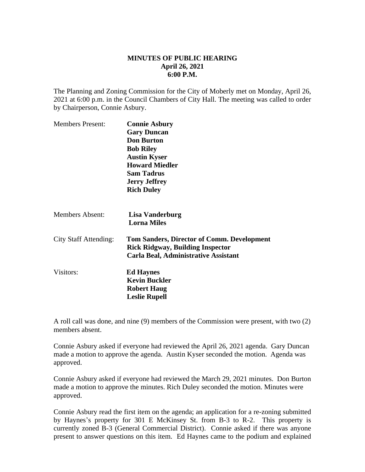## **MINUTES OF PUBLIC HEARING April 26, 2021 6:00 P.M.**

The Planning and Zoning Commission for the City of Moberly met on Monday, April 26, 2021 at 6:00 p.m. in the Council Chambers of City Hall. The meeting was called to order by Chairperson, Connie Asbury.

| <b>Members Present:</b>      | <b>Connie Asbury</b>                                                                         |
|------------------------------|----------------------------------------------------------------------------------------------|
|                              | <b>Gary Duncan</b>                                                                           |
|                              | <b>Don Burton</b>                                                                            |
|                              | <b>Bob Riley</b>                                                                             |
|                              | <b>Austin Kyser</b>                                                                          |
|                              | <b>Howard Miedler</b>                                                                        |
|                              | <b>Sam Tadrus</b>                                                                            |
|                              | <b>Jerry Jeffrey</b>                                                                         |
|                              | <b>Rich Duley</b>                                                                            |
| <b>Members Absent:</b>       | Lisa Vanderburg<br><b>Lorna Miles</b>                                                        |
| <b>City Staff Attending:</b> | <b>Tom Sanders, Director of Comm. Development</b><br><b>Rick Ridgway, Building Inspector</b> |
|                              | <b>Carla Beal, Administrative Assistant</b>                                                  |
| Visitors:                    | <b>Ed Haynes</b>                                                                             |
|                              | <b>Kevin Buckler</b>                                                                         |
|                              | <b>Robert Haug</b>                                                                           |
|                              | <b>Leslie Rupell</b>                                                                         |

A roll call was done, and nine (9) members of the Commission were present, with two (2) members absent.

Connie Asbury asked if everyone had reviewed the April 26, 2021 agenda. Gary Duncan made a motion to approve the agenda. Austin Kyser seconded the motion. Agenda was approved.

Connie Asbury asked if everyone had reviewed the March 29, 2021 minutes. Don Burton made a motion to approve the minutes. Rich Duley seconded the motion. Minutes were approved.

Connie Asbury read the first item on the agenda; an application for a re-zoning submitted by Haynes's property for 301 E McKinsey St. from B-3 to R-2. This property is currently zoned B-3 (General Commercial District). Connie asked if there was anyone present to answer questions on this item. Ed Haynes came to the podium and explained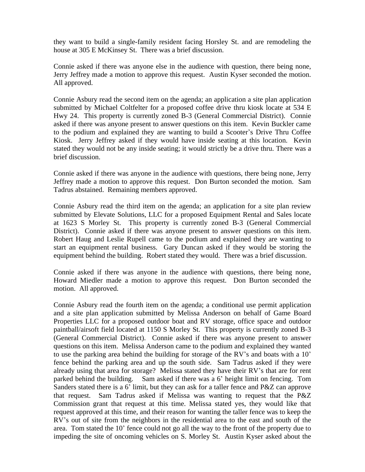they want to build a single-family resident facing Horsley St. and are remodeling the house at 305 E McKinsey St. There was a brief discussion.

Connie asked if there was anyone else in the audience with question, there being none, Jerry Jeffrey made a motion to approve this request. Austin Kyser seconded the motion. All approved.

Connie Asbury read the second item on the agenda; an application a site plan application submitted by Michael Coltfelter for a proposed coffee drive thru kiosk locate at 534 E Hwy 24. This property is currently zoned B-3 (General Commercial District). Connie asked if there was anyone present to answer questions on this item. Kevin Buckler came to the podium and explained they are wanting to build a Scooter's Drive Thru Coffee Kiosk. Jerry Jeffrey asked if they would have inside seating at this location. Kevin stated they would not be any inside seating; it would strictly be a drive thru. There was a brief discussion.

Connie asked if there was anyone in the audience with questions, there being none, Jerry Jeffrey made a motion to approve this request. Don Burton seconded the motion. Sam Tadrus abstained. Remaining members approved.

Connie Asbury read the third item on the agenda; an application for a site plan review submitted by Elevate Solutions, LLC for a proposed Equipment Rental and Sales locate at 1623 S Morley St. This property is currently zoned B-3 (General Commercial District). Connie asked if there was anyone present to answer questions on this item. Robert Haug and Leslie Rupell came to the podium and explained they are wanting to start an equipment rental business. Gary Duncan asked if they would be storing the equipment behind the building. Robert stated they would. There was a brief discussion.

Connie asked if there was anyone in the audience with questions, there being none, Howard Miedler made a motion to approve this request. Don Burton seconded the motion. All approved.

Connie Asbury read the fourth item on the agenda; a conditional use permit application and a site plan application submitted by Melissa Anderson on behalf of Game Board Properties LLC for a proposed outdoor boat and RV storage, office space and outdoor paintball/airsoft field located at 1150 S Morley St. This property is currently zoned B-3 (General Commercial District). Connie asked if there was anyone present to answer questions on this item. Melissa Anderson came to the podium and explained they wanted to use the parking area behind the building for storage of the RV's and boats with a 10' fence behind the parking area and up the south side. Sam Tadrus asked if they were already using that area for storage? Melissa stated they have their RV's that are for rent parked behind the building. Sam asked if there was a 6' height limit on fencing. Tom Sanders stated there is a 6' limit, but they can ask for a taller fence and P&Z can approve that request. Sam Tadrus asked if Melissa was wanting to request that the P&Z Commission grant that request at this time. Melissa stated yes, they would like that request approved at this time, and their reason for wanting the taller fence was to keep the RV's out of site from the neighbors in the residential area to the east and south of the area. Tom stated the 10' fence could not go all the way to the front of the property due to impeding the site of oncoming vehicles on S. Morley St. Austin Kyser asked about the